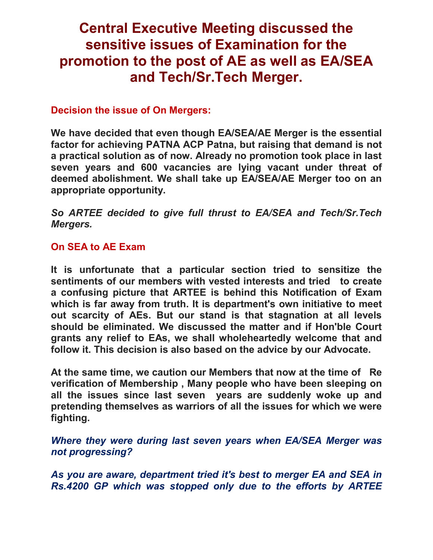## **Central Executive Meeting discussed the sensitive issues of Examination for the promotion to the post of AE as well as EA/SEA and Tech/Sr.Tech Merger.**

## **Decision the issue of On Mergers:**

**We have decided that even though EA/SEA/AE Merger is the essential factor for achieving PATNA ACP Patna, but raising that demand is not a practical solution as of now. Already no promotion took place in last seven years and 600 vacancies are lying vacant under threat of deemed abolishment. We shall take up EA/SEA/AE Merger too on an appropriate opportunity.** 

*So ARTEE decided to give full thrust to EA/SEA and Tech/Sr.Tech Mergers.* 

## **On SEA to AE Exam**

**It is unfortunate that a particular section tried to sensitize the sentiments of our members with vested interests and tried to create a confusing picture that ARTEE is behind this Notification of Exam which is far away from truth. It is department's own initiative to meet out scarcity of AEs. But our stand is that stagnation at all levels should be eliminated. We discussed the matter and if Hon'ble Court grants any relief to EAs, we shall wholeheartedly welcome that and follow it. This decision is also based on the advice by our Advocate.** 

**At the same time, we caution our Members that now at the time of Re verification of Membership , Many people who have been sleeping on all the issues since last seven years are suddenly woke up and pretending themselves as warriors of all the issues for which we were fighting.** 

*Where they were during last seven years when EA/SEA Merger was not progressing?* 

*As you are aware, department tried it's best to merger EA and SEA in Rs.4200 GP which was stopped only due to the efforts by ARTEE*